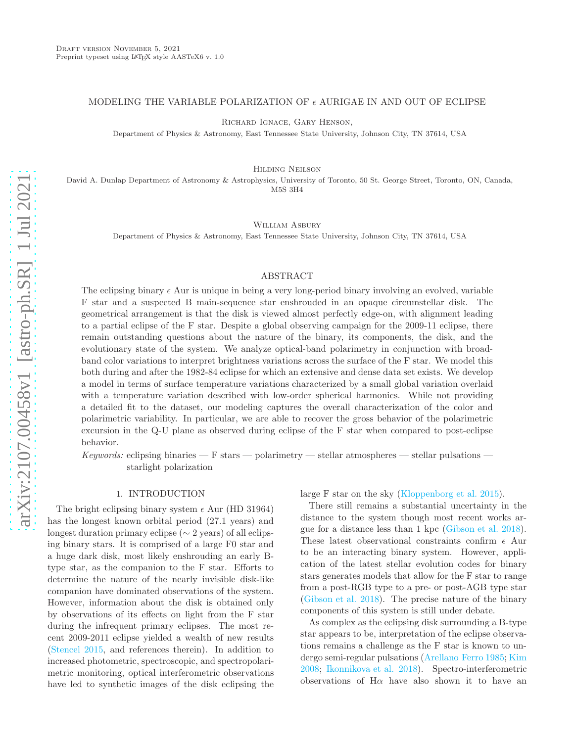## MODELING THE VARIABLE POLARIZATION OF  $\epsilon$  aurigae in and out of eclipse

Richard Ignace, Gary Henson,

Department of Physics & Astronomy, East Tennessee State University, Johnson City, TN 37614, USA

Hilding Neilson

David A. Dunlap Department of Astronomy & Astrophysics, University of Toronto, 50 St. George Street, Toronto, ON, Canada, M5S 3H4

William Asbury

Department of Physics & Astronomy, East Tennessee State University, Johnson City, TN 37614, USA

### ABSTRACT

The eclipsing binary  $\epsilon$  Aur is unique in being a very long-period binary involving an evolved, variable F star and a suspected B main-sequence star enshrouded in an opaque circumstellar disk. The geometrical arrangement is that the disk is viewed almost perfectly edge-on, with alignment leading to a partial eclipse of the F star. Despite a global observing campaign for the 2009-11 eclipse, there remain outstanding questions about the nature of the binary, its components, the disk, and the evolutionary state of the system. We analyze optical-band polarimetry in conjunction with broadband color variations to interpret brightness variations across the surface of the F star. We model this both during and after the 1982-84 eclipse for which an extensive and dense data set exists. We develop a model in terms of surface temperature variations characterized by a small global variation overlaid with a temperature variation described with low-order spherical harmonics. While not providing a detailed fit to the dataset, our modeling captures the overall characterization of the color and polarimetric variability. In particular, we are able to recover the gross behavior of the polarimetric excursion in the Q-U plane as observed during eclipse of the F star when compared to post-eclipse behavior.

Keywords: eclipsing binaries — F stars — polarimetry — stellar atmospheres — stellar pulsations starlight polarization

#### 1. INTRODUCTION

The bright eclipsing binary system  $\epsilon$  Aur (HD 31964) has the longest known orbital period (27.1 years) and longest duration primary eclipse (∼ 2 years) of all eclipsing binary stars. It is comprised of a large F0 star and a huge dark disk, most likely enshrouding an early Btype star, as the companion to the F star. Efforts to determine the nature of the nearly invisible disk-like companion have dominated observations of the system. However, information about the disk is obtained only by observations of its effects on light from the F star during the infrequent primary eclipses. The most recent 2009-2011 eclipse yielded a wealth of new results [\(Stencel 2015,](#page-11-0) and references therein). In addition to increased photometric, spectroscopic, and spectropolarimetric monitoring, optical interferometric observations have led to synthetic images of the disk eclipsing the large F star on the sky [\(Kloppenborg et al. 2015\)](#page-11-1).

There still remains a substantial uncertainty in the distance to the system though most recent works argue for a distance less than 1 kpc [\(Gibson et al. 2018](#page-11-2)). These latest observational constraints confirm  $\epsilon$  Aur to be an interacting binary system. However, application of the latest stellar evolution codes for binary stars generates models that allow for the F star to range from a post-RGB type to a pre- or post-AGB type star [\(Gibson et al. 2018\)](#page-11-2). The precise nature of the binary components of this system is still under debate.

As complex as the eclipsing disk surrounding a B-type star appears to be, interpretation of the eclipse observations remains a challenge as the F star is known to undergo semi-regular pulsations [\(Arellano Ferro 1985;](#page-11-3) [Kim](#page-11-4) [2008;](#page-11-4) [Ikonnikova et al. 2018\)](#page-11-5). Spectro-interferometric observations of  $H\alpha$  have also shown it to have an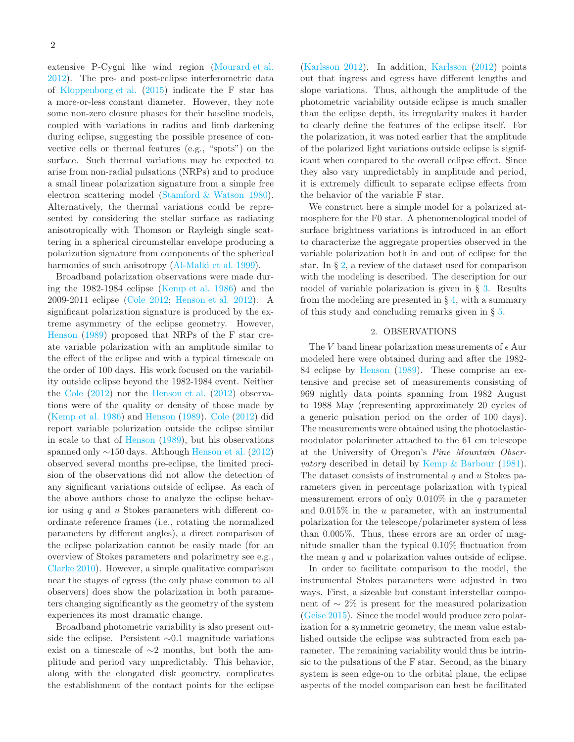extensive P-Cygni like wind region [\(Mourard et al.](#page-11-6) [2012\)](#page-11-6). The pre- and post-eclipse interferometric data of [Kloppenborg et al.](#page-11-1) [\(2015](#page-11-1)) indicate the F star has a more-or-less constant diameter. However, they note some non-zero closure phases for their baseline models, coupled with variations in radius and limb darkening during eclipse, suggesting the possible presence of convective cells or thermal features (e.g., "spots") on the surface. Such thermal variations may be expected to arise from non-radial pulsations (NRPs) and to produce a small linear polarization signature from a simple free electron scattering model [\(Stamford & Watson 1980\)](#page-11-7). Alternatively, the thermal variations could be represented by considering the stellar surface as radiating anisotropically with Thomson or Rayleigh single scattering in a spherical circumstellar envelope producing a polarization signature from components of the spherical harmonics of such anisotropy [\(Al-Malki et al. 1999](#page-11-8)).

Broadband polarization observations were made during the 1982-1984 eclipse [\(Kemp et al. 1986\)](#page-11-9) and the 2009-2011 eclipse [\(Cole 2012;](#page-11-10) [Henson et al. 2012\)](#page-11-11). A significant polarization signature is produced by the extreme asymmetry of the eclipse geometry. However, [Henson](#page-11-12) [\(1989\)](#page-11-12) proposed that NRPs of the F star create variable polarization with an amplitude similar to the effect of the eclipse and with a typical timescale on the order of 100 days. His work focused on the variability outside eclipse beyond the 1982-1984 event. Neither the [Cole](#page-11-10) [\(2012\)](#page-11-10) nor the [Henson et al.](#page-11-11) [\(2012\)](#page-11-11) observations were of the quality or density of those made by [\(Kemp et al. 1986](#page-11-9)) and [Henson](#page-11-12) [\(1989](#page-11-12)). [Cole](#page-11-10) [\(2012](#page-11-10)) did report variable polarization outside the eclipse similar in scale to that of [Henson](#page-11-12) [\(1989](#page-11-12)), but his observations spanned only ∼150 days. Although [Henson et al.](#page-11-11) [\(2012](#page-11-11)) observed several months pre-eclipse, the limited precision of the observations did not allow the detection of any significant variations outside of eclipse. As each of the above authors chose to analyze the eclipse behavior using  $q$  and  $u$  Stokes parameters with different coordinate reference frames (i.e., rotating the normalized parameters by different angles), a direct comparison of the eclipse polarization cannot be easily made (for an overview of Stokes parameters and polarimetry see e.g., [Clarke 2010\)](#page-11-13). However, a simple qualitative comparison near the stages of egress (the only phase common to all observers) does show the polarization in both parameters changing significantly as the geometry of the system experiences its most dramatic change.

Broadband photometric variability is also present outside the eclipse. Persistent ∼0.1 magnitude variations exist on a timescale of ∼2 months, but both the amplitude and period vary unpredictably. This behavior, along with the elongated disk geometry, complicates the establishment of the contact points for the eclipse

[\(Karlsson 2012](#page-11-14)). In addition, [Karlsson](#page-11-14) [\(2012\)](#page-11-14) points out that ingress and egress have different lengths and slope variations. Thus, although the amplitude of the photometric variability outside eclipse is much smaller than the eclipse depth, its irregularity makes it harder to clearly define the features of the eclipse itself. For the polarization, it was noted earlier that the amplitude of the polarized light variations outside eclipse is significant when compared to the overall eclipse effect. Since they also vary unpredictably in amplitude and period, it is extremely difficult to separate eclipse effects from the behavior of the variable F star.

We construct here a simple model for a polarized atmosphere for the F0 star. A phenomenological model of surface brightness variations is introduced in an effort to characterize the aggregate properties observed in the variable polarization both in and out of eclipse for the star. In § [2,](#page-1-0) a review of the dataset used for comparison with the modeling is described. The description for our model of variable polarization is given in § [3.](#page-2-0) Results from the modeling are presented in  $\S 4$ , with a summary of this study and concluding remarks given in § [5.](#page-10-0)

### 2. OBSERVATIONS

<span id="page-1-0"></span>The V band linear polarization measurements of  $\epsilon$  Aur modeled here were obtained during and after the 1982- 84 eclipse by [Henson](#page-11-12) [\(1989\)](#page-11-12). These comprise an extensive and precise set of measurements consisting of 969 nightly data points spanning from 1982 August to 1988 May (representing approximately 20 cycles of a generic pulsation period on the order of 100 days). The measurements were obtained using the photoelasticmodulator polarimeter attached to the 61 cm telescope at the University of Oregon's Pine Mountain Observatory described in detail by [Kemp & Barbour](#page-11-15) [\(1981](#page-11-15)). The dataset consists of instrumental  $q$  and  $u$  Stokes parameters given in percentage polarization with typical measurement errors of only  $0.010\%$  in the q parameter and  $0.015\%$  in the u parameter, with an instrumental polarization for the telescope/polarimeter system of less than 0.005%. Thus, these errors are an order of magnitude smaller than the typical 0.10% fluctuation from the mean  $q$  and  $u$  polarization values outside of eclipse.

In order to facilitate comparison to the model, the instrumental Stokes parameters were adjusted in two ways. First, a sizeable but constant interstellar component of ∼ 2% is present for the measured polarization [\(Geise 2015](#page-11-16)). Since the model would produce zero polarization for a symmetric geometry, the mean value established outside the eclipse was subtracted from each parameter. The remaining variability would thus be intrinsic to the pulsations of the F star. Second, as the binary system is seen edge-on to the orbital plane, the eclipse aspects of the model comparison can best be facilitated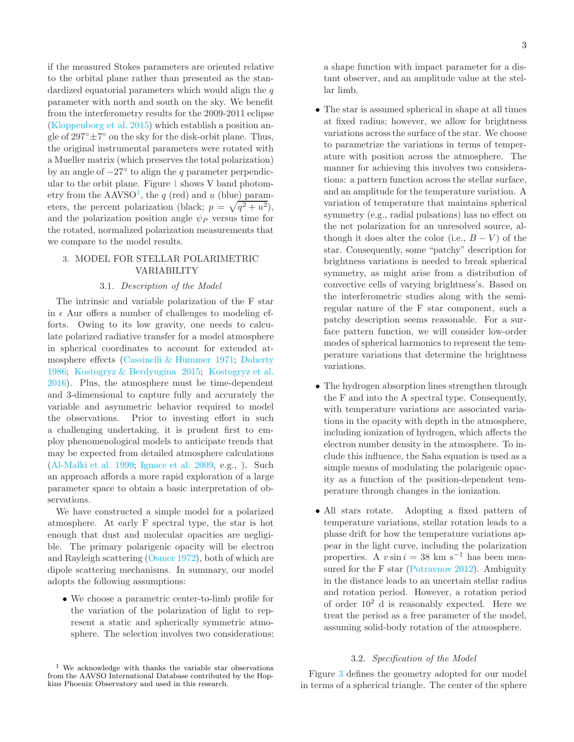if the measured Stokes parameters are oriented relative to the orbital plane rather than presented as the standardized equatorial parameters which would align the  $q$ parameter with north and south on the sky. We benefit from the interferometry results for the 2009-2011 eclipse [\(Kloppenborg et al. 2015\)](#page-11-1) which establish a position angle of  $297^{\circ} \pm 7^{\circ}$  on the sky for the disk-orbit plane. Thus, the original instrumental parameters were rotated with a Mueller matrix (which preserves the total polarization) by an angle of  $-27°$  to align the q parameter perpendicular to the orbit plane. Figure [1](#page-3-0) shows V band photometry from the  $\text{AAVSO}^1$  $\text{AAVSO}^1$ , the q (red) and u (blue) parameters, the percent polarization (black;  $p = \sqrt{q^2 + u^2}$ ), and the polarization position angle  $\psi_P$  versus time for the rotated, normalized polarization measurements that we compare to the model results.

# <span id="page-2-0"></span>3. MODEL FOR STELLAR POLARIMETRIC VARIABILITY

#### 3.1. Description of the Model

The intrinsic and variable polarization of the F star in  $\epsilon$  Aur offers a number of challenges to modeling efforts. Owing to its low gravity, one needs to calculate polarized radiative transfer for a model atmosphere in spherical coordinates to account for extended atmosphere effects [\(Cassinelli & Hummer 1971;](#page-11-17) [Doherty](#page-11-18) [1986;](#page-11-18) [Kostogryz & Berdyugina 2015;](#page-11-19) [Kostogryz et al.](#page-11-20) [2016\)](#page-11-20). Plus, the atmosphere must be time-dependent and 3-dimensional to capture fully and accurately the variable and asymmetric behavior required to model the observations. Prior to investing effort in such a challenging undertaking, it is prudent first to employ phenomenological models to anticipate trends that may be expected from detailed atmosphere calculations [\(Al-Malki et al. 1999;](#page-11-8) [Ignace et al. 2009,](#page-11-21) e.g., ). Such an approach affords a more rapid exploration of a large parameter space to obtain a basic interpretation of observations.

We have constructed a simple model for a polarized atmosphere. At early F spectral type, the star is hot enough that dust and molecular opacities are negligible. The primary polarigenic opacity will be electron and Rayleigh scattering [\(Osmer 1972\)](#page-11-22), both of which are dipole scattering mechanisms. In summary, our model adopts the following assumptions:

• We choose a parametric center-to-limb profile for the variation of the polarization of light to represent a static and spherically symmetric atmosphere. The selection involves two considerations: a shape function with impact parameter for a distant observer, and an amplitude value at the stellar limb.

- The star is assumed spherical in shape at all times at fixed radius; however, we allow for brightness variations across the surface of the star. We choose to parametrize the variations in terms of temperature with position across the atmosphere. The manner for achieving this involves two considerations: a pattern function across the stellar surface, and an amplitude for the temperature variation. A variation of temperature that maintains spherical symmetry (e.g., radial pulsations) has no effect on the net polarization for an unresolved source, although it does alter the color (i.e.,  $B - V$ ) of the star. Consequently, some "patchy" description for brightness variations is needed to break spherical symmetry, as might arise from a distribution of convective cells of varying brightness's. Based on the interferometric studies along with the semiregular nature of the F star component, such a patchy description seems reasonable. For a surface pattern function, we will consider low-order modes of spherical harmonics to represent the temperature variations that determine the brightness variations.
- The hydrogen absorption lines strengthen through the F and into the A spectral type. Consequently, with temperature variations are associated variations in the opacity with depth in the atmosphere, including ionization of hydrogen, which affects the electron number density in the atmosphere. To include this influence, the Saha equation is used as a simple means of modulating the polarigenic opacity as a function of the position-dependent temperature through changes in the ionization.
- All stars rotate. Adopting a fixed pattern of temperature variations, stellar rotation leads to a phase drift for how the temperature variations appear in the light curve, including the polarization properties. A  $v \sin i = 38$  km s<sup>-1</sup> has been measured for the F star [\(Potravnov 2012\)](#page-11-23). Ambiguity in the distance leads to an uncertain stellar radius and rotation period. However, a rotation period of order  $10^2$  d is reasonably expected. Here we treat the period as a free parameter of the model, assuming solid-body rotation of the atmosphere.

# 3.2. Specification of the Model

Figure [3](#page-4-0) defines the geometry adopted for our model in terms of a spherical triangle. The center of the sphere

<span id="page-2-1"></span><sup>&</sup>lt;sup>1</sup> We acknowledge with thanks the variable star observations from the AAVSO International Database contributed by the Hopkins Phoenix Observatory and used in this research.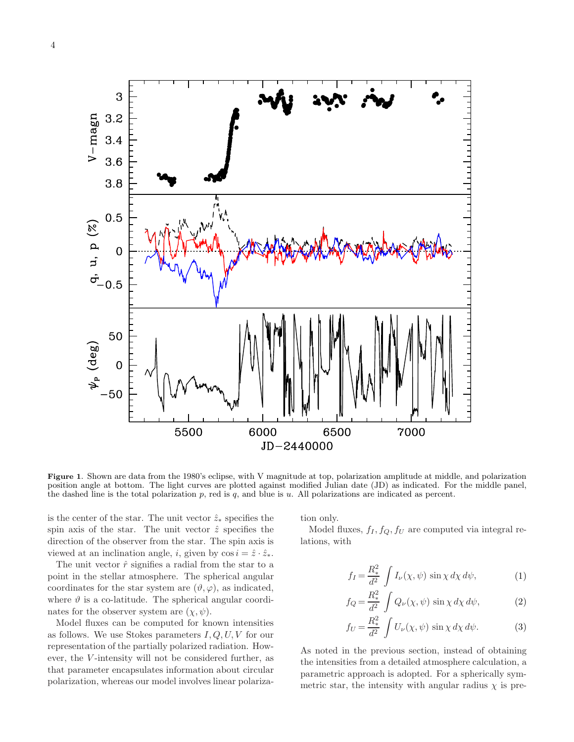

<span id="page-3-0"></span>Figure 1. Shown are data from the 1980's eclipse, with V magnitude at top, polarization amplitude at middle, and polarization position angle at bottom. The light curves are plotted against modified Julian date (JD) as indicated. For the middle panel, the dashed line is the total polarization  $p$ , red is  $q$ , and blue is  $u$ . All polarizations are indicated as percent.

is the center of the star. The unit vector  $\hat{z}_*$  specifies the spin axis of the star. The unit vector  $\hat{z}$  specifies the direction of the observer from the star. The spin axis is viewed at an inclination angle, i, given by  $\cos i = \hat{z} \cdot \hat{z}_*$ .

The unit vector  $\hat{r}$  signifies a radial from the star to a point in the stellar atmosphere. The spherical angular coordinates for the star system are  $(\vartheta, \varphi)$ , as indicated, where  $\vartheta$  is a co-latitude. The spherical angular coordinates for the observer system are  $(\chi, \psi)$ .

Model fluxes can be computed for known intensities as follows. We use Stokes parameters  $I, Q, U, V$  for our representation of the partially polarized radiation. However, the V-intensity will not be considered further, as that parameter encapsulates information about circular polarization, whereas our model involves linear polarization only.

Model fluxes,  $f_I, f_Q, f_U$  are computed via integral relations, with

$$
f_I = \frac{R_*^2}{d^2} \int I_\nu(\chi, \psi) \sin \chi \, d\chi \, d\psi,\tag{1}
$$

$$
f_Q = \frac{R_*^2}{d^2} \int Q_\nu(\chi, \psi) \sin \chi \, d\chi \, d\psi,\tag{2}
$$

$$
f_U = \frac{R_*^2}{d^2} \int U_\nu(\chi, \psi) \sin \chi \, d\chi \, d\psi.
$$
 (3)

As noted in the previous section, instead of obtaining the intensities from a detailed atmosphere calculation, a parametric approach is adopted. For a spherically symmetric star, the intensity with angular radius  $\chi$  is pre-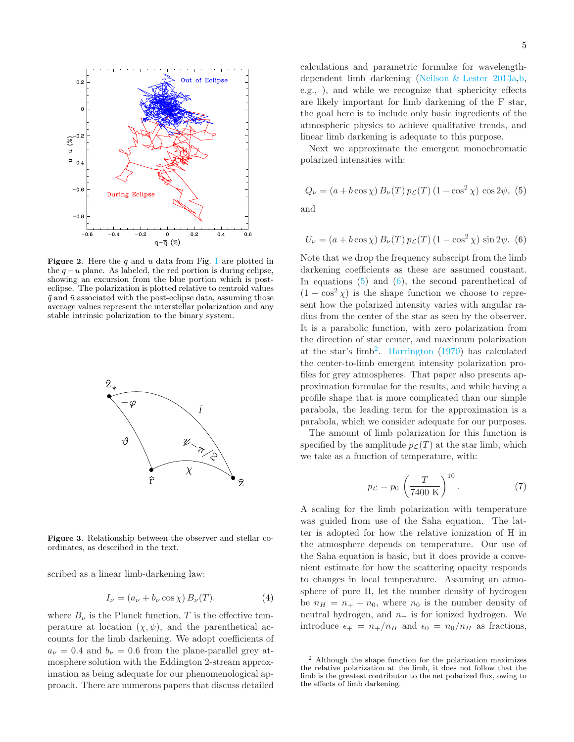

<span id="page-4-4"></span>Figure 2. Here the  $q$  and  $u$  data from Fig. [1](#page-3-0) are plotted in the  $q-u$  plane. As labeled, the red portion is during eclipse, showing an excursion from the blue portion which is posteclipse. The polarization is plotted relative to centroid values  $\bar{q}$  and  $\bar{u}$  associated with the post-eclipse data, assuming those average values represent the interstellar polarization and any stable intrinsic polarization to the binary system.



<span id="page-4-0"></span>Figure 3. Relationship between the observer and stellar coordinates, as described in the text.

scribed as a linear limb-darkening law:

$$
I_{\nu} = (a_{\nu} + b_{\nu} \cos \chi) B_{\nu}(T). \tag{4}
$$

where  $B_{\nu}$  is the Planck function, T is the effective temperature at location  $(\chi, \psi)$ , and the parenthetical accounts for the limb darkening. We adopt coefficients of  $a_{\nu} = 0.4$  and  $b_{\nu} = 0.6$  from the plane-parallel grey atmosphere solution with the Eddington 2-stream approximation as being adequate for our phenomenological approach. There are numerous papers that discuss detailed

calculations and parametric formulae for wavelengthdependent limb darkening [\(Neilson & Lester 2013a](#page-11-24)[,b](#page-11-25), e.g., ), and while we recognize that sphericity effects are likely important for limb darkening of the F star, the goal here is to include only basic ingredients of the atmospheric physics to achieve qualitative trends, and linear limb darkening is adequate to this purpose.

Next we approximate the emergent monochromatic polarized intensities with:

<span id="page-4-1"></span>
$$
Q_{\nu} = (a + b \cos \chi) B_{\nu}(T) p_{\mathcal{L}}(T) (1 - \cos^2 \chi) \cos 2\psi, (5)
$$

and

<span id="page-4-2"></span>
$$
U_{\nu} = (a + b \cos \chi) B_{\nu}(T) p_{\mathcal{L}}(T) (1 - \cos^{2} \chi) \sin 2\psi.
$$
 (6)

Note that we drop the frequency subscript from the limb darkening coefficients as these are assumed constant. In equations  $(5)$  and  $(6)$ , the second parenthetical of  $(1 - \cos^2 \chi)$  is the shape function we choose to represent how the polarized intensity varies with angular radius from the center of the star as seen by the observer. It is a parabolic function, with zero polarization from the direction of star center, and maximum polarization at the star's  $limb<sup>2</sup>$  $limb<sup>2</sup>$  $limb<sup>2</sup>$ . [Harrington](#page-11-26) [\(1970\)](#page-11-26) has calculated the center-to-limb emergent intensity polarization profiles for grey atmospheres. That paper also presents approximation formulae for the results, and while having a profile shape that is more complicated than our simple parabola, the leading term for the approximation is a parabola, which we consider adequate for our purposes.

The amount of limb polarization for this function is specified by the amplitude  $p_{\mathcal{L}}(T)$  at the star limb, which we take as a function of temperature, with:

$$
p_{\mathcal{L}} = p_0 \left(\frac{T}{7400 \text{ K}}\right)^{10}.\tag{7}
$$

A scaling for the limb polarization with temperature was guided from use of the Saha equation. The latter is adopted for how the relative ionization of H in the atmosphere depends on temperature. Our use of the Saha equation is basic, but it does provide a convenient estimate for how the scattering opacity responds to changes in local temperature. Assuming an atmosphere of pure H, let the number density of hydrogen be  $n_H = n_+ + n_0$ , where  $n_0$  is the number density of neutral hydrogen, and  $n_+$  is for ionized hydrogen. We introduce  $\epsilon_+ = n_+/n_H$  and  $\epsilon_0 = n_0/n_H$  as fractions,

<span id="page-4-3"></span><sup>2</sup> Although the shape function for the polarization maximizes the relative polarization at the limb, it does not follow that the limb is the greatest contributor to the net polarized flux, owing to the effects of limb darkening.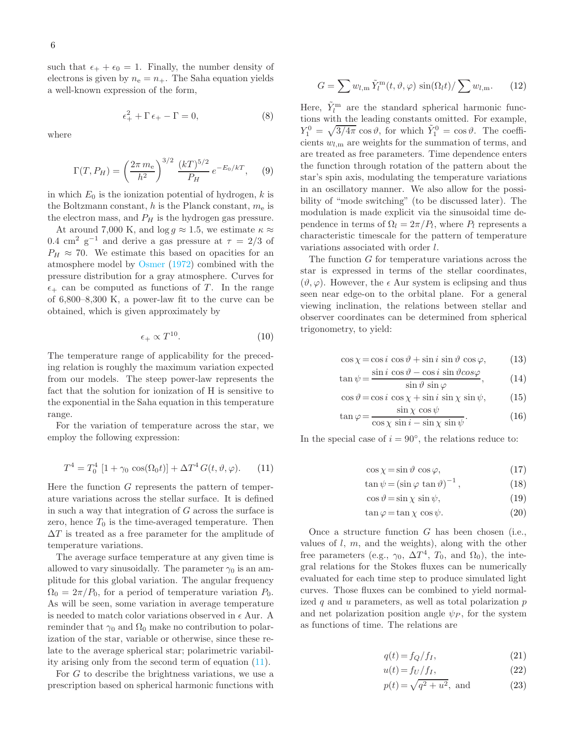such that  $\epsilon_+ + \epsilon_0 = 1$ . Finally, the number density of electrons is given by  $n_e = n_+$ . The Saha equation yields a well-known expression of the form,

$$
\epsilon_+^2 + \Gamma \epsilon_+ - \Gamma = 0,\tag{8}
$$

where

$$
\Gamma(T, P_H) = \left(\frac{2\pi m_e}{h^2}\right)^{3/2} \frac{(kT)^{5/2}}{P_H} e^{-E_0/kT}, \quad (9)
$$

in which  $E_0$  is the ionization potential of hydrogen, k is the Boltzmann constant, h is the Planck constant,  $m_e$  is the electron mass, and  $P_H$  is the hydrogen gas pressure.

At around 7,000 K, and  $\log g \approx 1.5$ , we estimate  $\kappa \approx$ 0.4 cm<sup>2</sup> g<sup>-1</sup> and derive a gas pressure at  $\tau = 2/3$  of  $P_H \approx 70$ . We estimate this based on opacities for an atmosphere model by [Osmer](#page-11-22) [\(1972\)](#page-11-22) combined with the pressure distribution for a gray atmosphere. Curves for  $\epsilon_+$  can be computed as functions of T. In the range of 6,800–8,300 K, a power-law fit to the curve can be obtained, which is given approximately by

$$
\epsilon_+ \propto T^{10}.\tag{10}
$$

The temperature range of applicability for the preceding relation is roughly the maximum variation expected from our models. The steep power-law represents the fact that the solution for ionization of H is sensitive to the exponential in the Saha equation in this temperature range.

For the variation of temperature across the star, we employ the following expression:

<span id="page-5-0"></span>
$$
T^{4} = T_{0}^{4} [1 + \gamma_{0} \cos(\Omega_{0} t)] + \Delta T^{4} G(t, \vartheta, \varphi).
$$
 (11)

Here the function  $G$  represents the pattern of temperature variations across the stellar surface. It is defined in such a way that integration of G across the surface is zero, hence  $T_0$  is the time-averaged temperature. Then  $\Delta T$  is treated as a free parameter for the amplitude of temperature variations.

The average surface temperature at any given time is allowed to vary sinusoidally. The parameter  $\gamma_0$  is an amplitude for this global variation. The angular frequency  $\Omega_0 = 2\pi/P_0$ , for a period of temperature variation  $P_0$ . As will be seen, some variation in average temperature is needed to match color variations observed in  $\epsilon$  Aur. A reminder that  $\gamma_0$  and  $\Omega_0$  make no contribution to polarization of the star, variable or otherwise, since these relate to the average spherical star; polarimetric variability arising only from the second term of equation [\(11\)](#page-5-0).

For G to describe the brightness variations, we use a prescription based on spherical harmonic functions with

$$
G = \sum w_{l,m} \tilde{Y}_l^{\mathbf{m}}(t, \vartheta, \varphi) \sin(\Omega_l t) / \sum w_{l,m}.
$$
 (12)

Here,  $\tilde{Y}_l^{\text{m}}$  are the standard spherical harmonic functions with the leading constants omitted. For example,  $Y_1^0 = \sqrt{3/4\pi} \cos \vartheta$ , for which  $\tilde{Y}_1^0 = \cos \vartheta$ . The coefficients  $w_{l,m}$  are weights for the summation of terms, and are treated as free parameters. Time dependence enters the function through rotation of the pattern about the star's spin axis, modulating the temperature variations in an oscillatory manner. We also allow for the possibility of "mode switching" (to be discussed later). The modulation is made explicit via the sinusoidal time dependence in terms of  $\Omega_l = 2\pi/P_l$ , where  $P_l$  represents a characteristic timescale for the pattern of temperature variations associated with order l.

The function G for temperature variations across the star is expressed in terms of the stellar coordinates,  $(\vartheta, \varphi)$ . However, the  $\epsilon$  Aur system is eclipsing and thus seen near edge-on to the orbital plane. For a general viewing inclination, the relations between stellar and observer coordinates can be determined from spherical trigonometry, to yield:

$$
\cos \chi = \cos i \, \cos \vartheta + \sin i \, \sin \vartheta \, \cos \varphi, \tag{13}
$$

$$
\tan\psi = \frac{\sin i \cos\vartheta - \cos i \sin\vartheta \cos\varphi}{\sin\vartheta \sin\varphi},\qquad(14)
$$

$$
\cos \vartheta = \cos i \, \cos \chi + \sin i \, \sin \chi \, \sin \psi, \tag{15}
$$

$$
\tan \varphi = \frac{\sin \chi \cos \psi}{\cos \chi \sin i - \sin \chi \sin \psi}.
$$
 (16)

In the special case of  $i = 90^\circ$ , the relations reduce to:

$$
\cos \chi = \sin \vartheta \, \cos \varphi,\tag{17}
$$

$$
\tan \psi = (\sin \varphi \, \tan \vartheta)^{-1}, \qquad (18)
$$

 $\cos \theta = \sin \chi \sin \psi,$  (19)

$$
\tan \varphi = \tan \chi \cos \psi. \tag{20}
$$

Once a structure function  $G$  has been chosen (i.e., values of  $l, m$ , and the weights), along with the other free parameters (e.g.,  $\gamma_0$ ,  $\Delta T^4$ ,  $T_0$ , and  $\Omega_0$ ), the integral relations for the Stokes fluxes can be numerically evaluated for each time step to produce simulated light curves. Those fluxes can be combined to yield normalized  $q$  and  $u$  parameters, as well as total polarization  $p$ and net polarization position angle  $\psi_P$ , for the system as functions of time. The relations are

$$
q(t) = f_Q/f_I,\tag{21}
$$

$$
u(t) = f_U/f_I,
$$
\n(22)

$$
p(t) = \sqrt{q^2 + u^2}
$$
, and (23)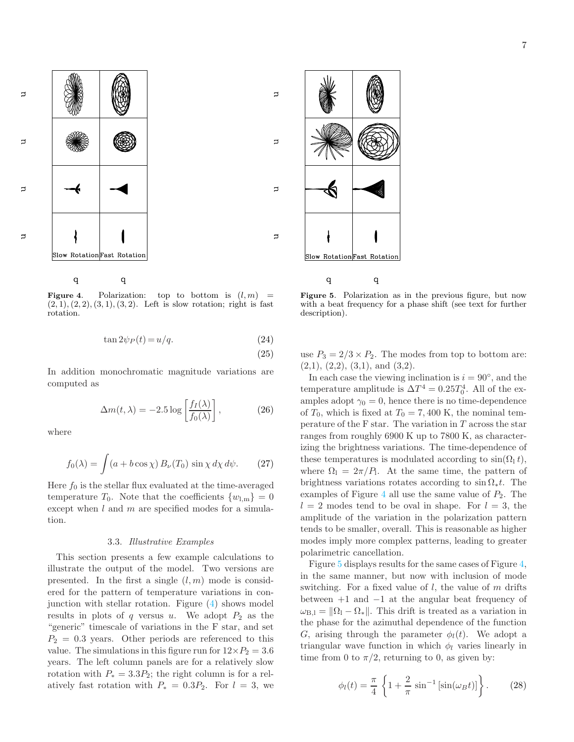$\supset$  $\exists$ 

 $\Box$ 

 $\mathbf{\Xi}$ 



<span id="page-6-0"></span> $\overline{q}$  $\overline{q}$ 

Figure 4. Polarization: top to bottom is  $(l, m)$  =  $(2, 1), (2, 2), (3, 1), (3, 2).$  Left is slow rotation; right is fast rotation.

$$
\tan 2\psi_P(t) = u/q. \tag{24}
$$

$$
(25)
$$

 $\overline{a}$ 

 $\supset$ 

 $\Rightarrow$ 

 $\Rightarrow$ 

In addition monochromatic magnitude variations are computed as

$$
\Delta m(t,\lambda) = -2.5 \log \left[ \frac{f_I(\lambda)}{f_0(\lambda)} \right],\tag{26}
$$

where

$$
f_0(\lambda) = \int (a + b \cos \chi) B_{\nu}(T_0) \sin \chi \, d\chi \, d\psi.
$$
 (27)

Here  $f_0$  is the stellar flux evaluated at the time-averaged temperature  $T_0$ . Note that the coefficients  $\{w_{l,m}\}=0$ except when  $l$  and  $m$  are specified modes for a simulation.

### 3.3. Illustrative Examples

This section presents a few example calculations to illustrate the output of the model. Two versions are presented. In the first a single  $(l, m)$  mode is considered for the pattern of temperature variations in conjunction with stellar rotation. Figure [\(4\)](#page-6-0) shows model results in plots of q versus u. We adopt  $P_2$  as the "generic" timescale of variations in the F star, and set  $P_2 = 0.3$  years. Other periods are referenced to this value. The simulations in this figure run for  $12\times P_2 = 3.6$ years. The left column panels are for a relatively slow rotation with  $P_* = 3.3P_2$ ; the right column is for a relatively fast rotation with  $P_* = 0.3P_2$ . For  $l = 3$ , we



<span id="page-6-1"></span> $\bf q$ 

Figure 5. Polarization as in the previous figure, but now with a beat frequency for a phase shift (see text for further description).

use  $P_3 = 2/3 \times P_2$ . The modes from top to bottom are:  $(2,1), (2,2), (3,1), \text{ and } (3,2).$ 

In each case the viewing inclination is  $i = 90°$ , and the temperature amplitude is  $\Delta T^4 = 0.25 T_0^4$ . All of the examples adopt  $\gamma_0 = 0$ , hence there is no time-dependence of  $T_0$ , which is fixed at  $T_0 = 7,400$  K, the nominal temperature of the F star. The variation in  $T$  across the star ranges from roughly 6900 K up to 7800 K, as characterizing the brightness variations. The time-dependence of these temperatures is modulated according to  $sin(\Omega_1 t)$ , where  $\Omega_1 = 2\pi/P_1$ . At the same time, the pattern of brightness variations rotates according to  $\sin \Omega_* t$ . The examples of Figure [4](#page-6-0) all use the same value of  $P_2$ . The  $l = 2$  modes tend to be oval in shape. For  $l = 3$ , the amplitude of the variation in the polarization pattern tends to be smaller, overall. This is reasonable as higher modes imply more complex patterns, leading to greater polarimetric cancellation.

Figure [5](#page-6-1) displays results for the same cases of Figure [4,](#page-6-0) in the same manner, but now with inclusion of mode switching. For a fixed value of  $l$ , the value of  $m$  drifts between +1 and −1 at the angular beat frequency of  $\omega_{\text{B,I}} = \|\Omega_1 - \Omega_*\|$ . This drift is treated as a variation in the phase for the azimuthal dependence of the function G, arising through the parameter  $\phi_l(t)$ . We adopt a triangular wave function in which  $\phi_l$  varies linearly in time from 0 to  $\pi/2$ , returning to 0, as given by:

$$
\phi_l(t) = \frac{\pi}{4} \left\{ 1 + \frac{2}{\pi} \sin^{-1} \left[ \sin(\omega_B t) \right] \right\}.
$$
 (28)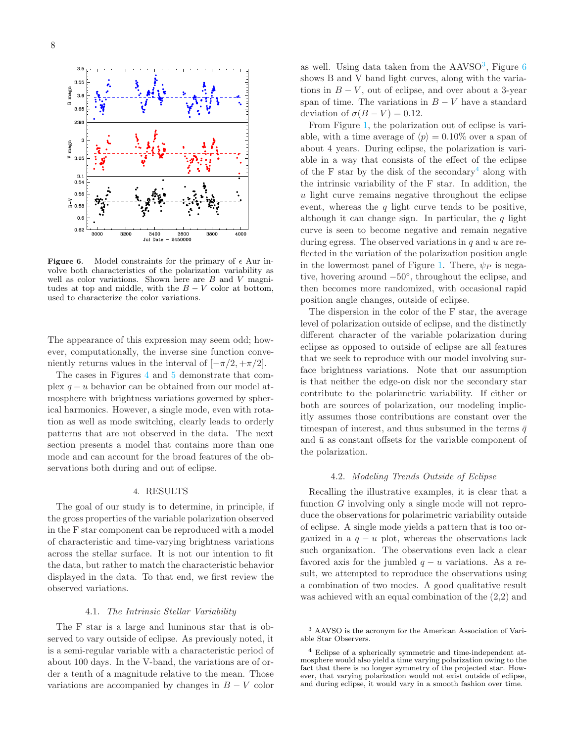



<span id="page-7-2"></span>**Figure 6.** Model constraints for the primary of  $\epsilon$  Aur involve both characteristics of the polarization variability as well as color variations. Shown here are  $B$  and  $V$  magnitudes at top and middle, with the  $B - V$  color at bottom, used to characterize the color variations.

The appearance of this expression may seem odd; however, computationally, the inverse sine function conveniently returns values in the interval of  $[-\pi/2, +\pi/2]$ .

The cases in Figures [4](#page-6-0) and [5](#page-6-1) demonstrate that complex  $q - u$  behavior can be obtained from our model atmosphere with brightness variations governed by spherical harmonics. However, a single mode, even with rotation as well as mode switching, clearly leads to orderly patterns that are not observed in the data. The next section presents a model that contains more than one mode and can account for the broad features of the observations both during and out of eclipse.

#### 4. RESULTS

<span id="page-7-0"></span>The goal of our study is to determine, in principle, if the gross properties of the variable polarization observed in the F star component can be reproduced with a model of characteristic and time-varying brightness variations across the stellar surface. It is not our intention to fit the data, but rather to match the characteristic behavior displayed in the data. To that end, we first review the observed variations.

### 4.1. The Intrinsic Stellar Variability

The F star is a large and luminous star that is observed to vary outside of eclipse. As previously noted, it is a semi-regular variable with a characteristic period of about 100 days. In the V-band, the variations are of order a tenth of a magnitude relative to the mean. Those variations are accompanied by changes in  $B - V$  color

as well. Using data taken from the  $AAVSO<sup>3</sup>$  $AAVSO<sup>3</sup>$  $AAVSO<sup>3</sup>$ , Figure [6](#page-7-2) shows B and V band light curves, along with the variations in  $B - V$ , out of eclipse, and over about a 3-year span of time. The variations in  $B - V$  have a standard deviation of  $\sigma(B-V) = 0.12$ .

From Figure [1,](#page-3-0) the polarization out of eclipse is variable, with a time average of  $\langle p \rangle = 0.10\%$  over a span of about 4 years. During eclipse, the polarization is variable in a way that consists of the effect of the eclipse of the F star by the disk of the secondary<sup>[4](#page-7-3)</sup> along with the intrinsic variability of the F star. In addition, the u light curve remains negative throughout the eclipse event, whereas the  $q$  light curve tends to be positive, although it can change sign. In particular, the  $q$  light curve is seen to become negative and remain negative during egress. The observed variations in  $q$  and  $u$  are reflected in the variation of the polarization position angle in the lowermost panel of Figure [1.](#page-3-0) There,  $\psi_P$  is negative, hovering around −50◦ , throughout the eclipse, and then becomes more randomized, with occasional rapid position angle changes, outside of eclipse.

The dispersion in the color of the F star, the average level of polarization outside of eclipse, and the distinctly different character of the variable polarization during eclipse as opposed to outside of eclipse are all features that we seek to reproduce with our model involving surface brightness variations. Note that our assumption is that neither the edge-on disk nor the secondary star contribute to the polarimetric variability. If either or both are sources of polarization, our modeling implicitly assumes those contributions are constant over the timespan of interest, and thus subsumed in the terms  $\bar{q}$ and  $\bar{u}$  as constant offsets for the variable component of the polarization.

#### 4.2. Modeling Trends Outside of Eclipse

Recalling the illustrative examples, it is clear that a function G involving only a single mode will not reproduce the observations for polarimetric variability outside of eclipse. A single mode yields a pattern that is too organized in a  $q - u$  plot, whereas the observations lack such organization. The observations even lack a clear favored axis for the jumbled  $q - u$  variations. As a result, we attempted to reproduce the observations using a combination of two modes. A good qualitative result was achieved with an equal combination of the (2,2) and

<span id="page-7-1"></span><sup>3</sup> AAVSO is the acronym for the American Association of Variable Star Observers.

<span id="page-7-3"></span><sup>4</sup> Eclipse of a spherically symmetric and time-independent atmosphere would also yield a time varying polarization owing to the fact that there is no longer symmetry of the projected star. However, that varying polarization would not exist outside of eclipse, and during eclipse, it would vary in a smooth fashion over time.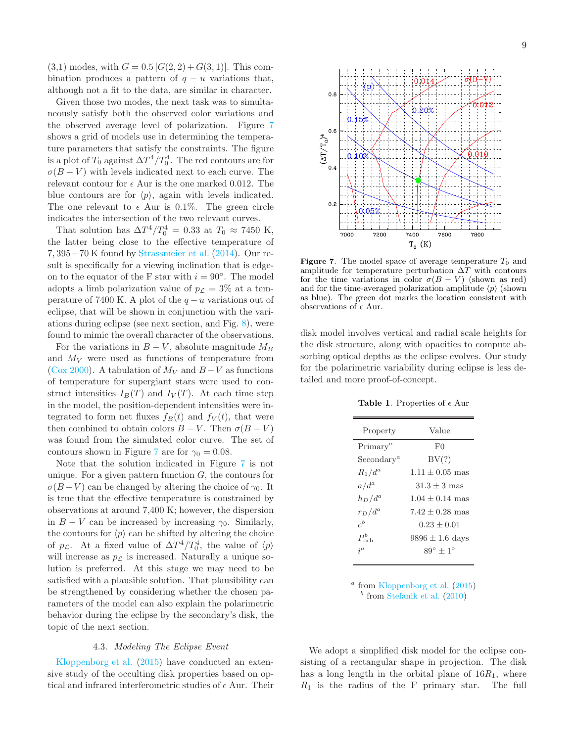$(3,1)$  modes, with  $G = 0.5 [G(2, 2) + G(3, 1)].$  This combination produces a pattern of  $q - u$  variations that, although not a fit to the data, are similar in character.

Given those two modes, the next task was to simultaneously satisfy both the observed color variations and the observed average level of polarization. Figure [7](#page-8-0) shows a grid of models use in determining the temperature parameters that satisfy the constraints. The figure is a plot of  $T_0$  against  $\Delta T^4/T_0^4$ . The red contours are for  $\sigma(B-V)$  with levels indicated next to each curve. The relevant contour for  $\epsilon$  Aur is the one marked 0.012. The blue contours are for  $\langle p \rangle$ , again with levels indicated. The one relevant to  $\epsilon$  Aur is 0.1%. The green circle indicates the intersection of the two relevant curves.

That solution has  $\Delta T^4/T_0^4 = 0.33$  at  $T_0 \approx 7450$  K, the latter being close to the effective temperature of  $7,395\pm70$  K found by [Strassmeier et al.](#page-11-27)  $(2014)$ . Our result is specifically for a viewing inclination that is edgeon to the equator of the F star with  $i = 90°$ . The model adopts a limb polarization value of  $p_{\mathcal{L}} = 3\%$  at a temperature of 7400 K. A plot of the  $q - u$  variations out of eclipse, that will be shown in conjunction with the variations during eclipse (see next section, and Fig. [8\)](#page-10-1), were found to mimic the overall character of the observations.

For the variations in  $B - V$ , absolute magnitude  $M_B$ and  $M_V$  were used as functions of temperature from [\(Cox 2000\)](#page-11-28). A tabulation of  $M_V$  and  $B-V$  as functions of temperature for supergiant stars were used to construct intensities  $I_B(T)$  and  $I_V(T)$ . At each time step in the model, the position-dependent intensities were integrated to form net fluxes  $f_B(t)$  and  $f_V(t)$ , that were then combined to obtain colors  $B - V$ . Then  $\sigma(B - V)$ was found from the simulated color curve. The set of contours shown in Figure [7](#page-8-0) are for  $\gamma_0 = 0.08$ .

Note that the solution indicated in Figure [7](#page-8-0) is not unique. For a given pattern function  $G$ , the contours for  $\sigma(B-V)$  can be changed by altering the choice of  $\gamma_0$ . It is true that the effective temperature is constrained by observations at around 7,400 K; however, the dispersion in  $B - V$  can be increased by increasing  $\gamma_0$ . Similarly, the contours for  $\langle p \rangle$  can be shifted by altering the choice of  $p_{\mathcal{L}}$ . At a fixed value of  $\Delta T^4/T_0^4$ , the value of  $\langle p \rangle$ will increase as  $p_{\mathcal{L}}$  is increased. Naturally a unique solution is preferred. At this stage we may need to be satisfied with a plausible solution. That plausibility can be strengthened by considering whether the chosen parameters of the model can also explain the polarimetric behavior during the eclipse by the secondary's disk, the topic of the next section.

#### 4.3. Modeling The Eclipse Event

[Kloppenborg et al.](#page-11-1) [\(2015\)](#page-11-1) have conducted an extensive study of the occulting disk properties based on optical and infrared interferometric studies of  $\epsilon$  Aur. Their



<span id="page-8-0"></span>**Figure 7.** The model space of average temperature  $T_0$  and amplitude for temperature perturbation  $\Delta T$  with contours for the time variations in color  $\sigma(B-V)$  (shown as red) and for the time-averaged polarization amplitude  $\langle p \rangle$  (shown as blue). The green dot marks the location consistent with observations of  $\epsilon$  Aur.

disk model involves vertical and radial scale heights for the disk structure, along with opacities to compute absorbing optical depths as the eclipse evolves. Our study for the polarimetric variability during eclipse is less detailed and more proof-of-concept.

Table 1. Properties of  $\epsilon$  Aur

| Property                          | Value                |
|-----------------------------------|----------------------|
| Primary <sup>a</sup>              | F0                   |
| $\mathrm{Secondary}^a$            | BV(?)                |
| $R_1/d^a$                         | $1.11 + 0.05$ mas    |
| $a/d^a$                           | $31.3 + 3$ mas       |
| $h_D/d^a$                         | $1.04 + 0.14$ mas    |
| $r_D/d^a$                         | $7.42 + 0.28$ mas    |
| $\boldsymbol{e}^{\boldsymbol{b}}$ | $0.23 + 0.01$        |
|                                   | $9896 \pm 1.6$ days  |
| $i^a$                             | $89^\circ + 1^\circ$ |
|                                   |                      |

 $a$  from [Kloppenborg et al.](#page-11-1)  $(2015)$  $(2015)$ <sup>b</sup> from [Stefanik et al.](#page-11-29) [\(2010](#page-11-29))

We adopt a simplified disk model for the eclipse consisting of a rectangular shape in projection. The disk has a long length in the orbital plane of  $16R_1$ , where  $R_1$  is the radius of the F primary star. The full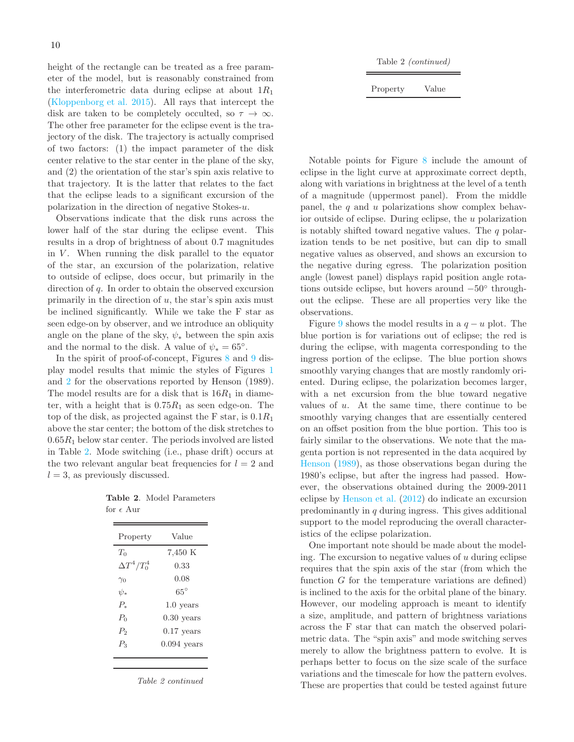height of the rectangle can be treated as a free parameter of the model, but is reasonably constrained from the interferometric data during eclipse at about  $1R_1$ [\(Kloppenborg et al. 2015\)](#page-11-1). All rays that intercept the disk are taken to be completely occulted, so  $\tau \to \infty$ . The other free parameter for the eclipse event is the trajectory of the disk. The trajectory is actually comprised of two factors: (1) the impact parameter of the disk center relative to the star center in the plane of the sky, and (2) the orientation of the star's spin axis relative to that trajectory. It is the latter that relates to the fact that the eclipse leads to a significant excursion of the polarization in the direction of negative Stokes-u.

Observations indicate that the disk runs across the lower half of the star during the eclipse event. This results in a drop of brightness of about 0.7 magnitudes in  $V$ . When running the disk parallel to the equator of the star, an excursion of the polarization, relative to outside of eclipse, does occur, but primarily in the direction of  $q$ . In order to obtain the observed excursion primarily in the direction of  $u$ , the star's spin axis must be inclined significantly. While we take the F star as seen edge-on by observer, and we introduce an obliquity angle on the plane of the sky,  $\psi_*$  between the spin axis and the normal to the disk. A value of  $\psi_* = 65^\circ$ .

In the spirit of proof-of-concept, Figures [8](#page-10-1) and [9](#page-11-30) display model results that mimic the styles of Figures [1](#page-3-0) and [2](#page-4-4) for the observations reported by Henson (1989). The model results are for a disk that is  $16R_1$  in diameter, with a height that is  $0.75R_1$  as seen edge-on. The top of the disk, as projected against the F star, is  $0.1R_1$ above the star center; the bottom of the disk stretches to  $0.65R_1$  below star center. The periods involved are listed in Table [2.](#page-9-0) Mode switching (i.e., phase drift) occurs at the two relevant angular beat frequencies for  $l = 2$  and  $l = 3$ , as previously discussed.

<span id="page-9-0"></span>

|                    | <b>Table 2.</b> Model Parameters |
|--------------------|----------------------------------|
| for $\epsilon$ Aur |                                  |

| Property             | Value         |
|----------------------|---------------|
| $T_0$                | 7,450 K       |
| $\Delta T^4 / T_0^4$ | 0.33          |
| $\gamma_0$           | 0.08          |
| $\psi_*$             | $65^{\circ}$  |
| $P_{\ast}$           | $1.0$ years   |
| $P_0$                | $0.30$ years  |
| $P_{2}$              | $0.17$ years  |
| $P_{3}$              | $0.094$ years |
|                      |               |

Table 2 continued

|  | Table 2 <i>(continued)</i> |
|--|----------------------------|
|--|----------------------------|

Property Value

Notable points for Figure [8](#page-10-1) include the amount of eclipse in the light curve at approximate correct depth, along with variations in brightness at the level of a tenth of a magnitude (uppermost panel). From the middle panel, the  $q$  and  $u$  polarizations show complex behavior outside of eclipse. During eclipse, the u polarization is notably shifted toward negative values. The  $q$  polarization tends to be net positive, but can dip to small negative values as observed, and shows an excursion to the negative during egress. The polarization position angle (lowest panel) displays rapid position angle rotations outside eclipse, but hovers around −50◦ throughout the eclipse. These are all properties very like the observations.

Figure [9](#page-11-30) shows the model results in a  $q - u$  plot. The blue portion is for variations out of eclipse; the red is during the eclipse, with magenta corresponding to the ingress portion of the eclipse. The blue portion shows smoothly varying changes that are mostly randomly oriented. During eclipse, the polarization becomes larger, with a net excursion from the blue toward negative values of  $u$ . At the same time, there continue to be smoothly varying changes that are essentially centered on an offset position from the blue portion. This too is fairly similar to the observations. We note that the magenta portion is not represented in the data acquired by [Henson](#page-11-12) [\(1989\)](#page-11-12), as those observations began during the 1980's eclipse, but after the ingress had passed. However, the observations obtained during the 2009-2011 eclipse by [Henson et al.](#page-11-11) [\(2012\)](#page-11-11) do indicate an excursion predominantly in  $q$  during ingress. This gives additional support to the model reproducing the overall characteristics of the eclipse polarization.

One important note should be made about the modeling. The excursion to negative values of  $u$  during eclipse requires that the spin axis of the star (from which the function  $G$  for the temperature variations are defined) is inclined to the axis for the orbital plane of the binary. However, our modeling approach is meant to identify a size, amplitude, and pattern of brightness variations across the F star that can match the observed polarimetric data. The "spin axis" and mode switching serves merely to allow the brightness pattern to evolve. It is perhaps better to focus on the size scale of the surface variations and the timescale for how the pattern evolves. These are properties that could be tested against future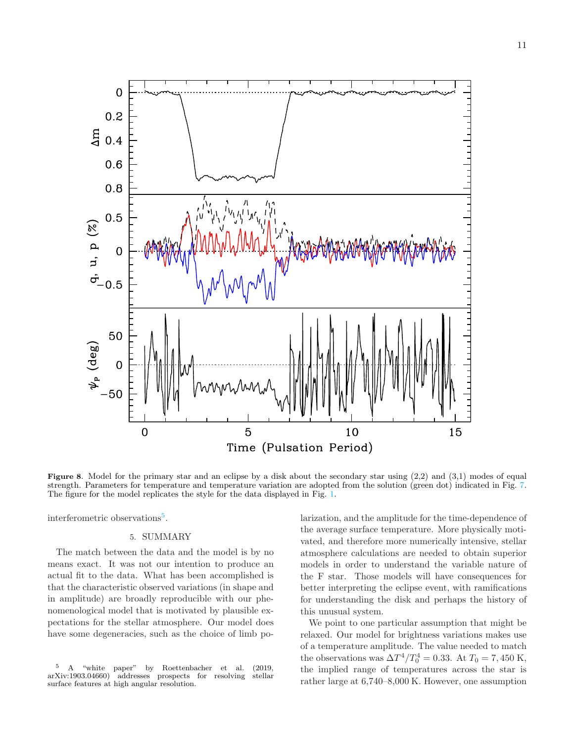

<span id="page-10-1"></span>Figure 8. Model for the primary star and an eclipse by a disk about the secondary star using  $(2,2)$  and  $(3,1)$  modes of equal strength. Parameters for temperature and temperature variation are adopted from the solution (green dot) indicated in Fig. [7.](#page-8-0) The figure for the model replicates the style for the data displayed in Fig. [1.](#page-3-0)

<span id="page-10-0"></span>interferometric observations<sup>[5](#page-10-2)</sup>.

# 5. SUMMARY

The match between the data and the model is by no means exact. It was not our intention to produce an actual fit to the data. What has been accomplished is that the characteristic observed variations (in shape and in amplitude) are broadly reproducible with our phenomenological model that is motivated by plausible expectations for the stellar atmosphere. Our model does have some degeneracies, such as the choice of limb polarization, and the amplitude for the time-dependence of the average surface temperature. More physically motivated, and therefore more numerically intensive, stellar atmosphere calculations are needed to obtain superior models in order to understand the variable nature of the F star. Those models will have consequences for better interpreting the eclipse event, with ramifications for understanding the disk and perhaps the history of this unusual system.

We point to one particular assumption that might be relaxed. Our model for brightness variations makes use of a temperature amplitude. The value needed to match the observations was  $\Delta T^4/T_0^4 = 0.33$ . At  $T_0 = 7,450$  K, the implied range of temperatures across the star is rather large at 6,740–8,000 K. However, one assumption

<span id="page-10-2"></span> $5$  A "white paper" by Roettenbacher et al. (2019, Xiv:1903.04660) addresses prospects for resolving stellar  $arXiv:1903.04660$  addresses prospects for resolving surface features at high angular resolution.